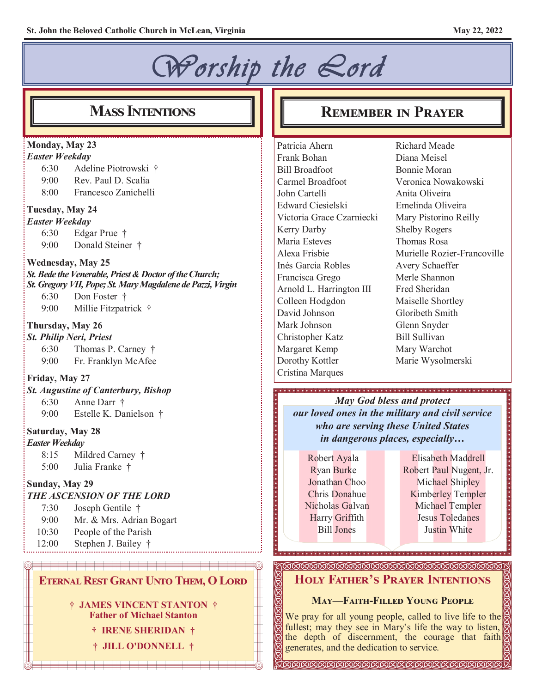#### *Worship the Lord*  **Mass Intentions Remember in Prayer Monday, May 23** Patricia Ahern Richard Meade *Easter Weekday* Frank Bohan Diana Meisel 6:30 Adeline Piotrowski † Bill Broadfoot Bonnie Moran 9:00 Rev. Paul D. Scalia Veronica Nowakowski Carmel Broadfoot 8:00 Francesco Zanichelli John Cartelli Anita Oliveira Edward Ciesielski Emelinda Oliveira **Tuesday, May 24** Victoria Grace Czarniecki Mary Pistorino Reilly *Easter Weekday* Kerry Darby Shelby Rogers 6:30 Edgar Prue † Maria Esteves Thomas Rosa 9:00 Donald Steiner † Alexa Frisbie Murielle Rozier-Francoville **Wednesday, May 25** Inés Garcia Robles Avery Schaeffer *St. Bede the Venerable, Priest & Doctor of the Church;*  Merle Shannon Francisca Grego *St. Gregory VII, Pope; St. Mary Magdalene de Pazzi, Virgin* Fred Sheridan Arnold L. Harrington III 6:30 Don Foster † Colleen Hodgdon Maiselle Shortley 9:00 Millie Fitzpatrick † David Johnson Gloribeth Smith Mark Johnson Glenn Snyder **Thursday, May 26** Bill Sullivan *St. Philip Neri, Priest* Christopher Katz Margaret Kemp Mary Warchot 6:30 Thomas P. Carney † 9:00 Fr. Franklyn McAfee Marie Wysolmerski Dorothy Kottler Cristina Marques **Friday, May 27** *St. Augustine of Canterbury, Bishop May God bless and protect* 6:30 Anne Darr † *our loved ones in the military and civil service* 9:00 Estelle K. Danielson † *who are serving these United States* **Saturday, May 28** *in dangerous places, especially… Easter Weekday* 8:15 Mildred Carney † Elisabeth Maddrell Robert Ayala 5:00 Julia Franke † Ryan Burke Robert Paul Nugent, Jr. Jonathan Choo Michael Shipley **Sunday, May 29** Chris Donahue Kimberley Templer *THE ASCENSION OF THE LORD* Nicholas Galvan Michael Templer 7:30 Joseph Gentile † Harry Griffith Jesus Toledanes 9:00 Mr. & Mrs. Adrian Bogart Bill Jones Justin White10:30 People of the Parish 12:00 Stephen J. Bailey † **Holy Father's Prayer Intentions Eternal Rest Grant Unto Them, O Lord**

**† JAMES VINCENT STANTON † Father of Michael Stanton**

**† IRENE SHERIDAN †**

**† JILL O'DONNELL †**

# **May—Faith-Filled Young People**

We pray for all young people, called to live life to the fullest; may they see in Mary's life the way to listen, the depth of discernment, the courage that faith generates, and the dedication to service.

**IKIKIKIKIKIKIKIKIKIKIKIKIKIKIKIKIKIKI**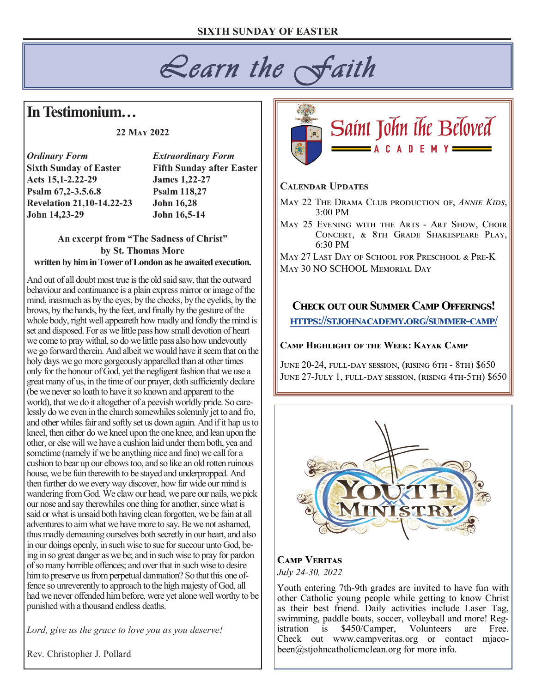# *Learn the Faith*

# **In Testimonium…**

#### **22 May 2022**

*Ordinary Form Extraordinary Form* **Acts 15,1-2.22-29 James 1,22-27 Psalm 67,2-3.5.6.8 Psalm 118,27 Revelation 21,10-14.22-23 John 16,28 John 14,23-29 John 16,5-14**

**Sixth Sunday of Easter Fifth Sunday after Easter**

#### **An excerpt from "The Sadness of Christ" by St. Thomas More written by him in Tower of London as he awaited execution.**

And out of all doubt most true is the old said saw, that the outward behaviour and continuance is a plain express mirror or image of the mind, inasmuch as by the eyes, by the cheeks, by the eyelids, by the brows, by the hands, by the feet, and finally by the gesture of the whole body, right well appeareth how madly and fondly the mind is set and disposed. For as we little pass how small devotion of heart we come to pray withal, so do we little pass also how undevoutly we go forward therein. And albeit we would have it seem that on the holy days we go more gorgeously apparelled than at other times only for the honour of God, yet the negligent fashion that we use a great many of us, in the time of our prayer, doth sufficiently declare (be we never so loath to have it so known and apparent to the world), that we do it altogether of a peevish worldly pride. So carelessly do we even in the church somewhiles solemnly jet to and fro, and other whiles fair and softly set us down again. And if it hap us to kneel, then either do we kneel upon the one knee, and lean upon the other, or else will we have a cushion laid under them both, yea and sometime (namely if we be anything nice and fine) we call for a cushion to bear up our elbows too, and so like an old rotten ruinous house, we be fain therewith to be stayed and underpropped. And then further do we every way discover, how far wide our mind is wandering from God. We claw our head, we pare our nails, we pick our nose and say therewhiles one thing for another, since what is said or what is unsaid both having clean forgotten, we be fain at all adventures to aim what we have more to say. Be we not ashamed, thus madly demeaning ourselves both secretly in our heart, and also in our doings openly, in such wise to sue for succour unto God, being in so great danger as we be; and in such wise to pray for pardon of so many horrible offences; and over that in such wise to desire him to preserve us from perpetual damnation? So that this one offence so unreverently to approach to the high majesty of God, all had we never offended him before, were yet alone well worthy to be punished with a thousand endless deaths.

*Lord, give us the grace to love you as you deserve!*

Rev. Christopher J. Pollard



#### **Calendar Updates**

- May 22 The Drama Club production of, *Annie Kids*, 3:00 PM
- MAY 25 EVENING WITH THE ARTS ART SHOW, CHOIR Concert, & 8th Grade Shakespeare Play, 6:30 PM

May 27 Last Day of School for Preschool & Pre-K May 30 NO SCHOOL Memorial Day

### **Check out our Summer Camp Offerings! [https://stjohnacademy.org/summer](https://stjohnacademy.org/summer-camp/)-camp/**

#### **Camp Highlight of the Week: Kayak Camp**

June 20-24, full-day session, (rising 6th - 8th) \$650 JUNE 27-JULY 1, FULL-DAY SESSION, (RISING 4TH-5TH) \$650



#### **Camp Veritas** *July 24-30, 2022*

Youth entering 7th-9th grades are invited to have fun with other Catholic young people while getting to know Christ as their best friend. Daily activities include Laser Tag, swimming, paddle boats, soccer, volleyball and more! Registration is \$450/Camper, Volunteers are Free. Check out www.campveritas.org or contact mjacobeen@stjohncatholicmclean.org for more info.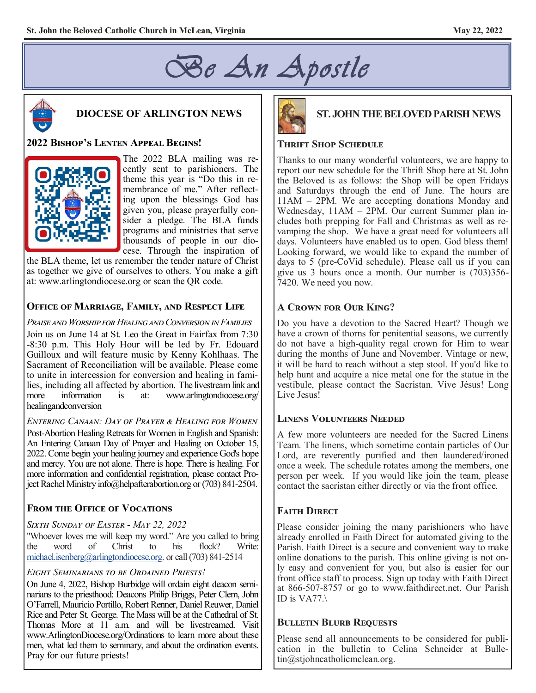



# **DIOCESE OF ARLINGTON NEWS**

#### **2022 Bishop's Lenten Appeal Begins!**



The 2022 BLA mailing was recently sent to parishioners. The theme this year is "Do this in remembrance of me." After reflecting upon the blessings God has given you, please prayerfully consider a pledge. The BLA funds programs and ministries that serve thousands of people in our diocese. Through the inspiration of

the BLA theme, let us remember the tender nature of Christ as together we give of ourselves to others. You make a gift at: www.arlingtondiocese.org or scan the QR code.

#### **Office of Marriage, Family, and Respect Life**

*Praise and Worship for Healing and Conversion in Families* Join us on June 14 at St. Leo the Great in Fairfax from 7:30 -8:30 p.m. This Holy Hour will be led by Fr. Edouard Guilloux and will feature music by Kenny Kohlhaas. The Sacrament of Reconciliation will be available. Please come to unite in intercession for conversion and healing in families, including all affected by abortion. The livestream link and more information is at: www.arlingtondiocese.org/ healingandconversion

*Entering Canaan: Day of Prayer & Healing for Women* Post-Abortion Healing Retreats for Women in English and Spanish: An Entering Canaan Day of Prayer and Healing on October 15, 2022. Come begin your healing journey and experience God's hope and mercy. You are not alone. There is hope. There is healing. For more information and confidential registration, please contact Project Rachel Ministry info@helpafterabortion.org or (703) 841-2504.

### **From the Office of Vocations**

#### *Sixth Sunday of Easter - May 22, 2022*

"Whoever loves me will keep my word." Are you called to bring the word of Christ to his flock? Write: [michael.isenberg@arlingtondiocese.org.](mailto:michael.isenberg@arlingtondiocese.org) or call (703) 841-2514

#### *Eight Seminarians to be Ordained Priests!*

On June 4, 2022, Bishop Burbidge will ordain eight deacon seminarians to the priesthood: Deacons Philip Briggs, Peter Clem, John O'Farrell, Mauricio Portillo, Robert Renner, Daniel Reuwer, Daniel Rice and Peter St. George. The Mass will be at the Cathedral of St. Thomas More at 11 a.m. and will be livestreamed. Visit www.ArlingtonDiocese.org/Ordinations to learn more about these men, what led them to seminary, and about the ordination events. Pray for our future priests!



#### **ST. JOHN THE BELOVED PARISH NEWS**

#### **Thrift Shop Schedule**

Thanks to our many wonderful volunteers, we are happy to report our new schedule for the Thrift Shop here at St. John the Beloved is as follows: the Shop will be open Fridays and Saturdays through the end of June. The hours are 11AM – 2PM. We are accepting donations Monday and Wednesday, 11AM – 2PM. Our current Summer plan includes both prepping for Fall and Christmas as well as revamping the shop. We have a great need for volunteers all days. Volunteers have enabled us to open. God bless them! Looking forward, we would like to expand the number of days to 5 (pre-CoVid schedule). Please call us if you can give us 3 hours once a month. Our number is (703)356- 7420. We need you now.

#### **A Crown for Our King?**

Do you have a devotion to the Sacred Heart? Though we have a crown of thorns for penitential seasons, we currently do not have a high-quality regal crown for Him to wear during the months of June and November. Vintage or new, it will be hard to reach without a step stool. If you'd like to help hunt and acquire a nice metal one for the statue in the vestibule, please contact the Sacristan. Vive Jésus! Long Live Jesus!

#### **Linens Volunteers Needed**

A few more volunteers are needed for the Sacred Linens Team. The linens, which sometime contain particles of Our Lord, are reverently purified and then laundered/ironed once a week. The schedule rotates among the members, one person per week. If you would like join the team, please contact the sacristan either directly or via the front office.

#### **Faith Direct**

Please consider joining the many parishioners who have already enrolled in Faith Direct for automated giving to the Parish. Faith Direct is a secure and convenient way to make online donations to the parish. This online giving is not only easy and convenient for you, but also is easier for our front office staff to process. Sign up today with Faith Direct at 866-507-8757 or go to www.faithdirect.net. Our Parish ID is VA77.\

#### **Bulletin Blurb Requests**

Please send all announcements to be considered for publication in the bulletin to Celina Schneider at Bulletin@stjohncatholicmclean.org.